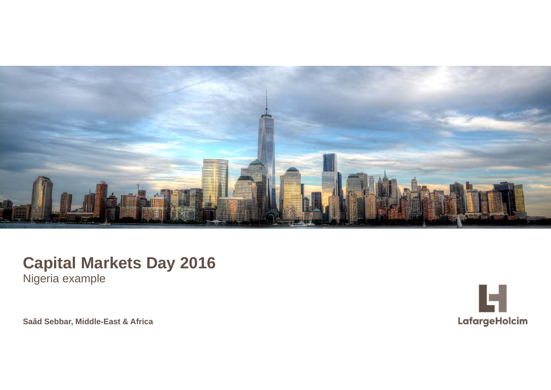

# **Capital Markets Day 2016**

Nigeria example

© LafargeHolcim Ltd 2015 **Saâd Sebbar, Middle-East & Africa**

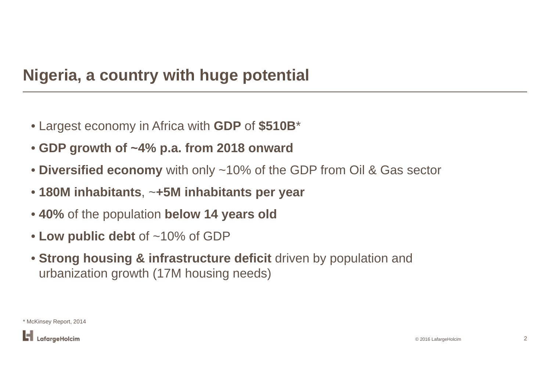## **Nigeria, a country with huge potential**

- Largest economy in Africa with **GDP** of **\$510B** \*
- **GDP growth of ~4% p.a. from 2018 onward**
- **Diversified economy** with only ~10% of the GDP from Oil & Gas sector
- **180M inhabitants**, <sup>~</sup>**+5M inhabitants per year**
- **40%** of the population **below 14 years old**
- **Low public debt** of ~10% of GDP
- **Strong housing & infrastructure deficit** driven by population and urbanization growth (17M housing needs)

\* McKinsey Report, 2014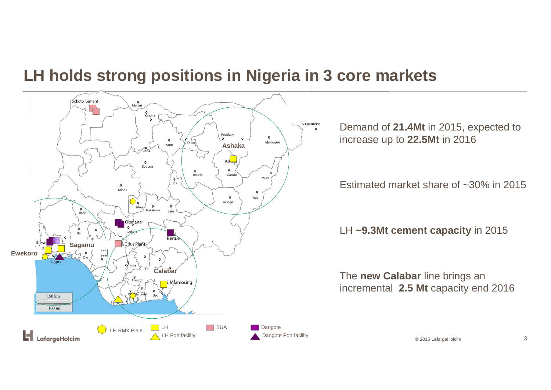## **LH holds strong positions in Nigeria in 3 core markets**



Demand of **21.4Mt** in 2015, expected to increase up to **22.5Mt** in 2016

Estimated market share of ~30% in 2015

LH **~9.3Mt cement capacity** in 2015

The **new Calabar** line brings an incremental **2.5 Mt** capacity end 2016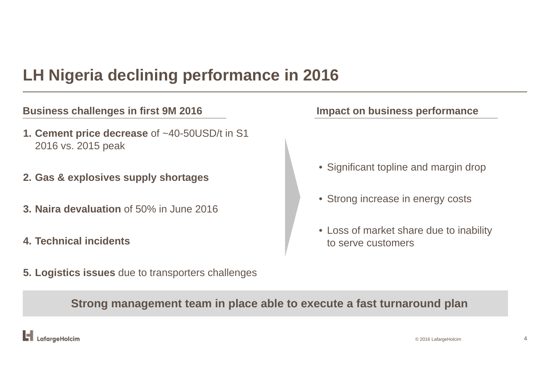## **LH Nigeria declining performance in 2016**

### **Business challenges in first 9M 2016 Impact on business performance**

- **1. Cement price decrease** of ~40-50USD/t in S1 2016 vs. 2015 peak
- **2. Gas & explosives supply shortages**
- **3. Naira devaluation** of 50% in June 2016
- **4. Technical incidents**
- **5. Logistics issues** due to transporters challenges

- Significant topline and margin drop
- Strong increase in energy costs
- Loss of market share due to inability to serve customers

**Strong management team in place able to execute a fast turnaround plan**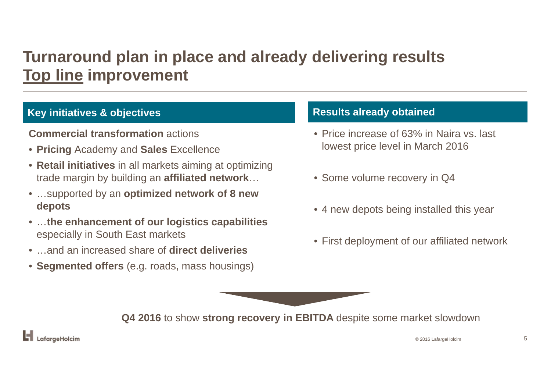# **Turnaround plan in place and already delivering results Top line improvement**

## **Key initiatives & objectives Results already obtained**

### **Commercial transformation** actions

- **Pricing** Academy and **Sales** Excellence
- **Retail initiatives** in all markets aiming at optimizing trade margin by building an **affiliated network** …
- …supported by an **optimized network of 8 new depots**
- …**the enhancement of our logistics capabilities**  especially in South East markets
- …and an increased share of **direct deliveries**
- **Segmented offers** (e.g. roads, mass housings)

- Price increase of 63% in Naira vs. last lowest price level in March 2016
- Some volume recovery in Q4
- 4 new depots being installed this year
- First deployment of our affiliated network

**Q4 2016** to show **strong recovery in EBITDA** despite some market slowdown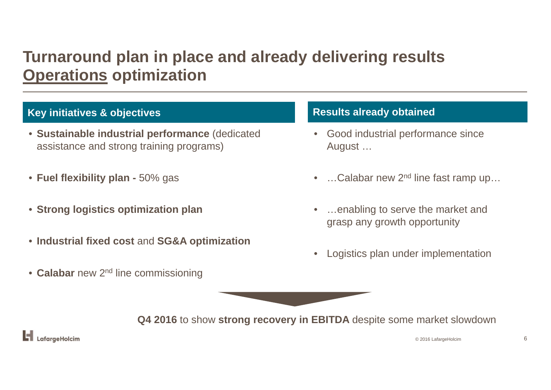## **Turnaround plan in place and already delivering results Operations optimization**

## **Key initiatives & objectives Results already obtained**

- **Sustainable industrial performance** (dedicated assistance and strong training programs)
- **Fuel flexibility plan -** 50% gas
- **Strong logistics optimization plan**
- **Industrial fixed cost** and **SG&A optimization**
- **Calabar** new 2n<sup>d</sup> line commissioning

- Good industrial performance since August …
- •...Calabar new 2<sup>nd</sup> line fast ramp up...
- • …enabling to serve the market and grasp any growth opportunity
- $\bullet$ Logistics plan under implementation



**Q4 2016** to show **strong recovery in EBITDA** despite some market slowdown